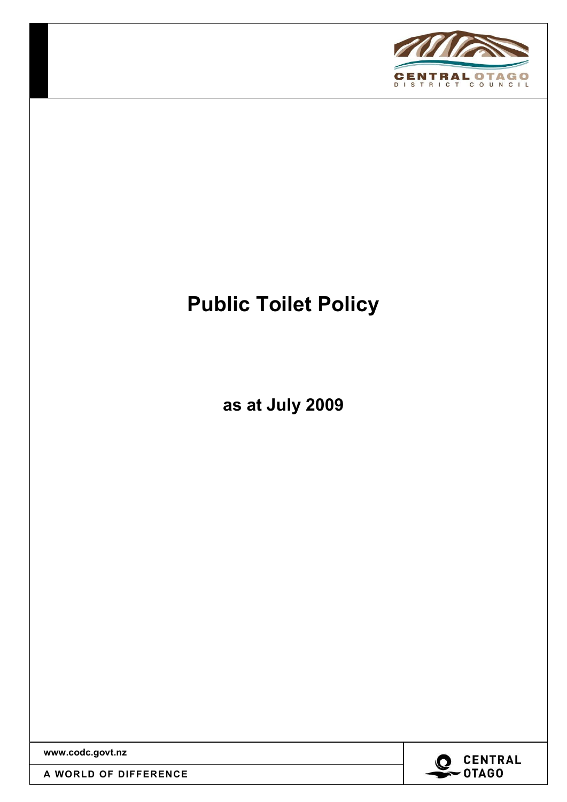

# Public Toilet Policy

as at July 2009

www.codc.govt.nz

A WORLD OF DIFFERENCE

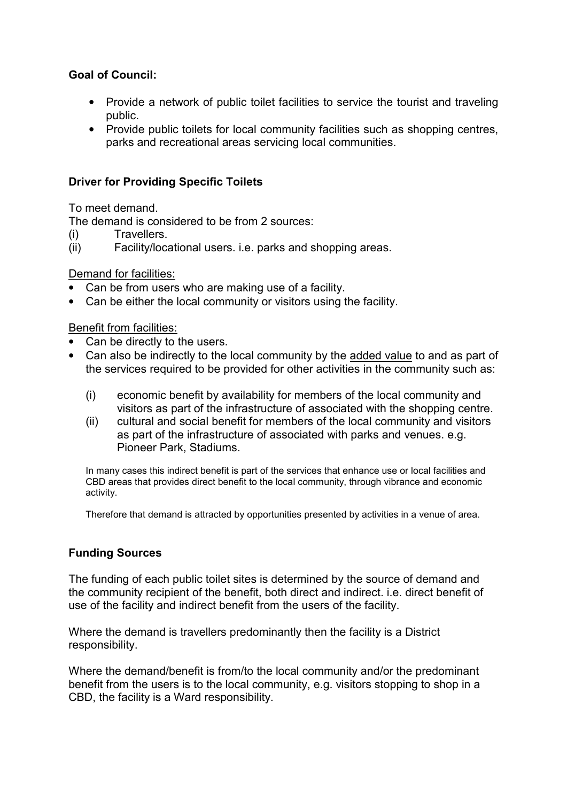### Goal of Council:

- Provide a network of public toilet facilities to service the tourist and traveling public.
- Provide public toilets for local community facilities such as shopping centres, parks and recreational areas servicing local communities.

#### Driver for Providing Specific Toilets

To meet demand.

The demand is considered to be from 2 sources:

- (i) Travellers.
- (ii) Facility/locational users. i.e. parks and shopping areas.

#### Demand for facilities:

- Can be from users who are making use of a facility.
- Can be either the local community or visitors using the facility.

#### Benefit from facilities:

- Can be directly to the users.
- Can also be indirectly to the local community by the added value to and as part of the services required to be provided for other activities in the community such as:
	- (i) economic benefit by availability for members of the local community and visitors as part of the infrastructure of associated with the shopping centre.
	- (ii) cultural and social benefit for members of the local community and visitors as part of the infrastructure of associated with parks and venues. e.g. Pioneer Park, Stadiums.

In many cases this indirect benefit is part of the services that enhance use or local facilities and CBD areas that provides direct benefit to the local community, through vibrance and economic activity.

Therefore that demand is attracted by opportunities presented by activities in a venue of area.

## Funding Sources

The funding of each public toilet sites is determined by the source of demand and the community recipient of the benefit, both direct and indirect. i.e. direct benefit of use of the facility and indirect benefit from the users of the facility.

Where the demand is travellers predominantly then the facility is a District responsibility.

Where the demand/benefit is from/to the local community and/or the predominant benefit from the users is to the local community, e.g. visitors stopping to shop in a CBD, the facility is a Ward responsibility.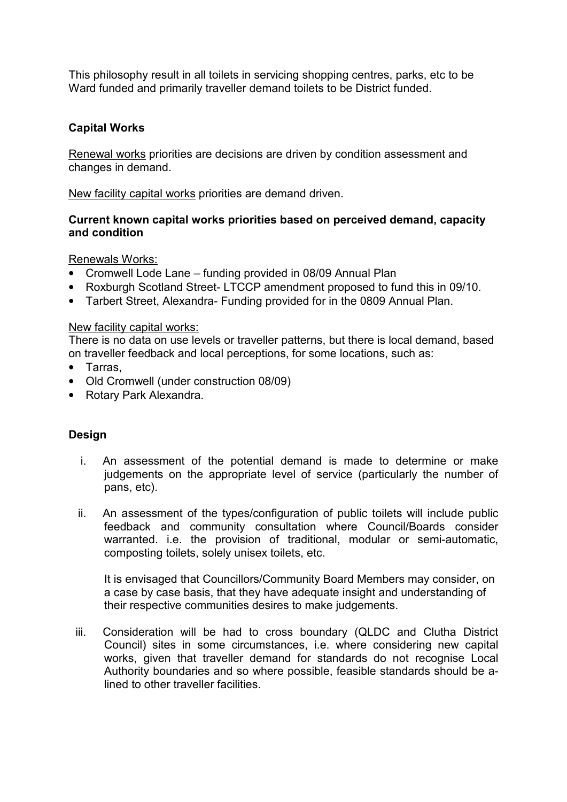This philosophy result in all toilets in servicing shopping centres, parks, etc to be Ward funded and primarily traveller demand toilets to be District funded.

#### Capital Works

Renewal works priorities are decisions are driven by condition assessment and changes in demand.

New facility capital works priorities are demand driven.

#### Current known capital works priorities based on perceived demand, capacity and condition

#### Renewals Works:

- Cromwell Lode Lane funding provided in 08/09 Annual Plan
- Roxburgh Scotland Street- LTCCP amendment proposed to fund this in 09/10.
- Tarbert Street, Alexandra- Funding provided for in the 0809 Annual Plan.

#### New facility capital works:

There is no data on use levels or traveller patterns, but there is local demand, based on traveller feedback and local perceptions, for some locations, such as:

- Tarras,
- Old Cromwell (under construction 08/09)
- Rotary Park Alexandra.

#### Design

- i. An assessment of the potential demand is made to determine or make judgements on the appropriate level of service (particularly the number of pans, etc).
- ii. An assessment of the types/configuration of public toilets will include public feedback and community consultation where Council/Boards consider warranted. i.e. the provision of traditional, modular or semi-automatic, composting toilets, solely unisex toilets, etc.

It is envisaged that Councillors/Community Board Members may consider, on a case by case basis, that they have adequate insight and understanding of their respective communities desires to make judgements.

iii. Consideration will be had to cross boundary (QLDC and Clutha District Council) sites in some circumstances, i.e. where considering new capital works, given that traveller demand for standards do not recognise Local Authority boundaries and so where possible, feasible standards should be alined to other traveller facilities.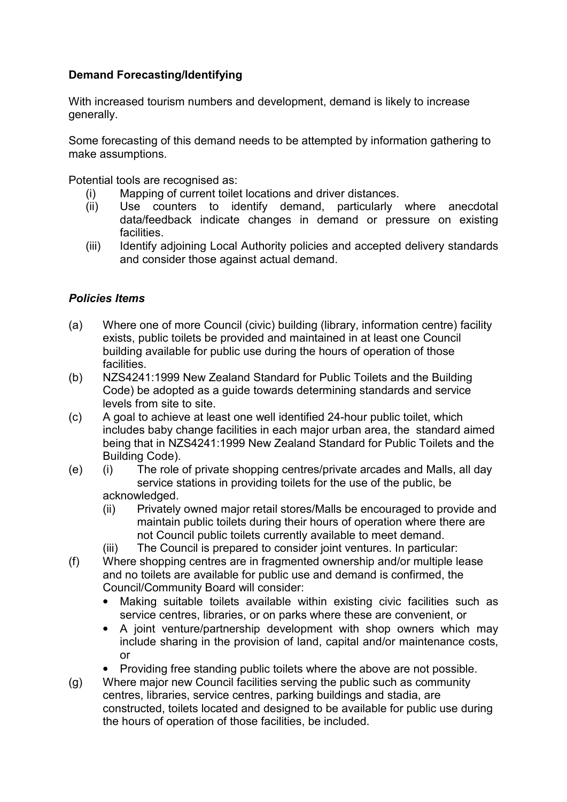## Demand Forecasting/Identifying

With increased tourism numbers and development, demand is likely to increase generally.

Some forecasting of this demand needs to be attempted by information gathering to make assumptions.

Potential tools are recognised as:

- (i) Mapping of current toilet locations and driver distances.
- (ii) Use counters to identify demand, particularly where anecdotal data/feedback indicate changes in demand or pressure on existing facilities.
- (iii) Identify adjoining Local Authority policies and accepted delivery standards and consider those against actual demand.

## Policies Items

- (a) Where one of more Council (civic) building (library, information centre) facility exists, public toilets be provided and maintained in at least one Council building available for public use during the hours of operation of those facilities.
- (b) NZS4241:1999 New Zealand Standard for Public Toilets and the Building Code) be adopted as a guide towards determining standards and service levels from site to site.
- (c) A goal to achieve at least one well identified 24-hour public toilet, which includes baby change facilities in each major urban area, the standard aimed being that in NZS4241:1999 New Zealand Standard for Public Toilets and the Building Code).
- (e) (i) The role of private shopping centres/private arcades and Malls, all day service stations in providing toilets for the use of the public, be acknowledged.
	- (ii) Privately owned major retail stores/Malls be encouraged to provide and maintain public toilets during their hours of operation where there are not Council public toilets currently available to meet demand.
	- (iii) The Council is prepared to consider joint ventures. In particular:
- (f) Where shopping centres are in fragmented ownership and/or multiple lease and no toilets are available for public use and demand is confirmed, the Council/Community Board will consider:
	- Making suitable toilets available within existing civic facilities such as service centres, libraries, or on parks where these are convenient, or
	- A joint venture/partnership development with shop owners which may include sharing in the provision of land, capital and/or maintenance costs, or
	- Providing free standing public toilets where the above are not possible.
- (g) Where major new Council facilities serving the public such as community centres, libraries, service centres, parking buildings and stadia, are constructed, toilets located and designed to be available for public use during the hours of operation of those facilities, be included.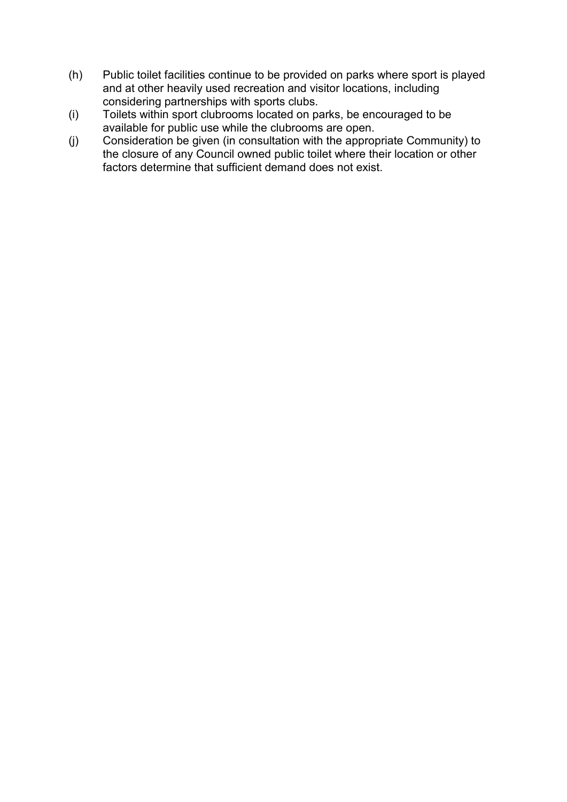- (h) Public toilet facilities continue to be provided on parks where sport is played and at other heavily used recreation and visitor locations, including considering partnerships with sports clubs.
- (i) Toilets within sport clubrooms located on parks, be encouraged to be available for public use while the clubrooms are open.
- (j) Consideration be given (in consultation with the appropriate Community) to the closure of any Council owned public toilet where their location or other factors determine that sufficient demand does not exist.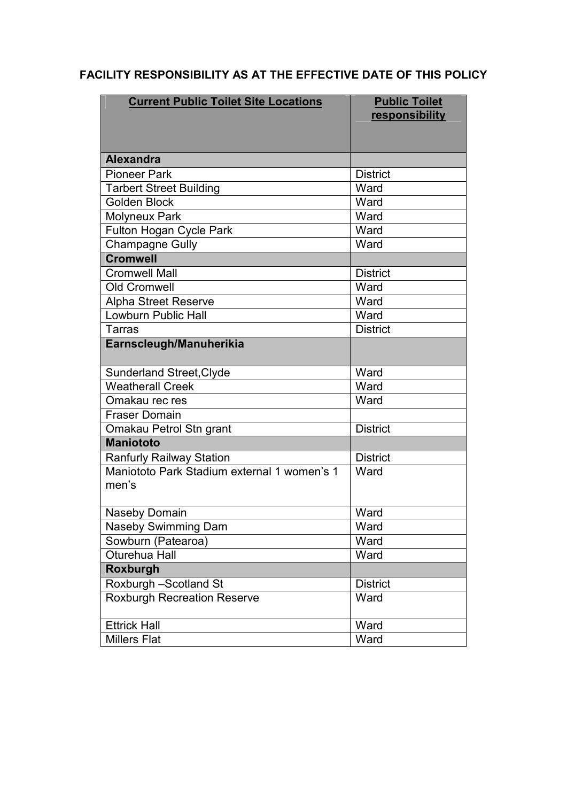## FACILITY RESPONSIBILITY AS AT THE EFFECTIVE DATE OF THIS POLICY

| <b>Current Public Toilet Site Locations</b>          | <b>Public Toilet</b><br>responsibility |
|------------------------------------------------------|----------------------------------------|
|                                                      |                                        |
| <b>Alexandra</b>                                     |                                        |
| <b>Pioneer Park</b>                                  | <b>District</b>                        |
| <b>Tarbert Street Building</b>                       | Ward                                   |
| <b>Golden Block</b>                                  | Ward                                   |
| <b>Molyneux Park</b>                                 | Ward                                   |
| <b>Fulton Hogan Cycle Park</b>                       | Ward                                   |
| <b>Champagne Gully</b>                               | Ward                                   |
| <b>Cromwell</b>                                      |                                        |
| <b>Cromwell Mall</b>                                 | <b>District</b>                        |
| <b>Old Cromwell</b>                                  | Ward                                   |
| Alpha Street Reserve                                 | Ward                                   |
| <b>Lowburn Public Hall</b>                           | Ward                                   |
| Tarras                                               | <b>District</b>                        |
| Earnscleugh/Manuherikia                              |                                        |
| <b>Sunderland Street, Clyde</b>                      | Ward                                   |
| <b>Weatherall Creek</b>                              | Ward                                   |
| Omakau rec res                                       | Ward                                   |
| <b>Fraser Domain</b>                                 |                                        |
| Omakau Petrol Stn grant                              | <b>District</b>                        |
| <b>Maniototo</b>                                     |                                        |
| <b>Ranfurly Railway Station</b>                      | <b>District</b>                        |
| Maniototo Park Stadium external 1 women's 1<br>men's | Ward                                   |
| Naseby Domain                                        | Ward                                   |
| Naseby Swimming Dam                                  | Ward                                   |
| Sowburn (Patearoa)                                   | Ward                                   |
| Oturehua Hall                                        | Ward                                   |
| Roxburgh                                             |                                        |
| Roxburgh -Scotland St                                | <b>District</b>                        |
| <b>Roxburgh Recreation Reserve</b>                   | Ward                                   |
| <b>Ettrick Hall</b>                                  | Ward                                   |
| <b>Millers Flat</b>                                  | Ward                                   |